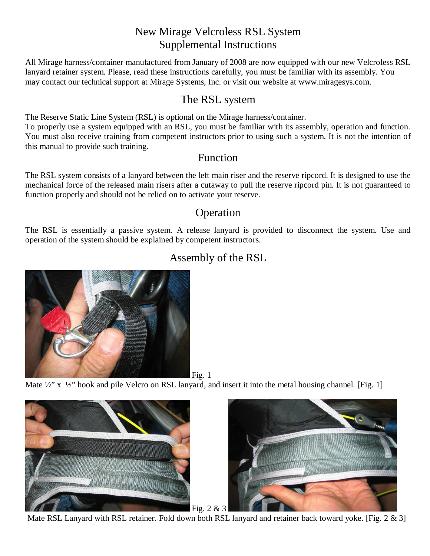### New Mirage Velcroless RSL System Supplemental Instructions

All Mirage harness/container manufactured from January of 2008 are now equipped with our new Velcroless RSL lanyard retainer system. Please, read these instructions carefully, you must be familiar with its assembly. You may contact our technical support at Mirage Systems, Inc. or visit our website at www.miragesys.com.

### The RSL system

The Reserve Static Line System (RSL) is optional on the Mirage harness/container. To properly use a system equipped with an RSL, you must be familiar with its assembly, operation and function. You must also receive training from competent instructors prior to using such a system. It is not the intention of this manual to provide such training.

#### Function

The RSL system consists of a lanyard between the left main riser and the reserve ripcord. It is designed to use the mechanical force of the released main risers after a cutaway to pull the reserve ripcord pin. It is not guaranteed to function properly and should not be relied on to activate your reserve.

### Operation

The RSL is essentially a passive system. A release lanyard is provided to disconnect the system. Use and operation of the system should be explained by competent instructors.



## Assembly of the RSL

Mate  $\frac{1}{2}$ " x  $\frac{1}{2}$ " hook and pile Velcro on RSL lanyard, and insert it into the metal housing channel. [Fig. 1]



Mate RSL Lanyard with RSL retainer. Fold down both RSL lanyard and retainer back toward yoke. [Fig. 2 & 3]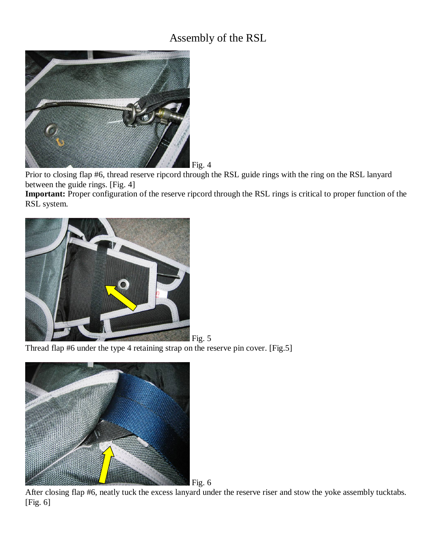## Assembly of the RSL



Prior to closing flap #6, thread reserve ripcord through the RSL guide rings with the ring on the RSL lanyard between the guide rings. [Fig. 4]

**Important:** Proper configuration of the reserve ripcord through the RSL rings is critical to proper function of the RSL system.



Thread flap #6 under the type 4 retaining strap on the reserve pin cover. [Fig.5]



After closing flap #6, neatly tuck the excess lanyard under the reserve riser and stow the yoke assembly tucktabs. [Fig. 6]